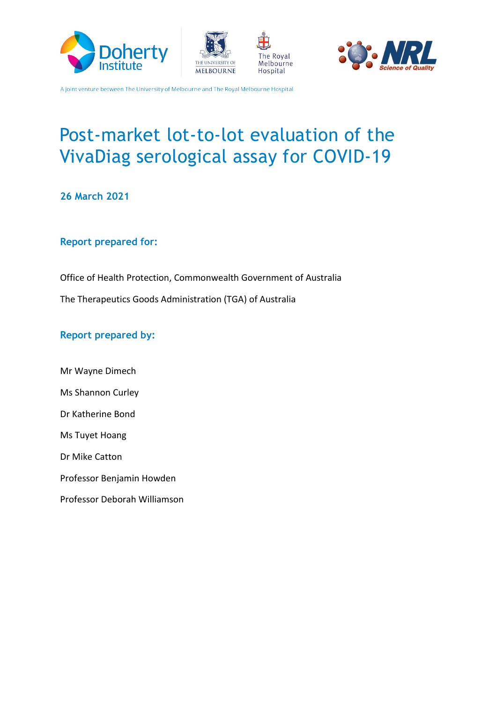







# Post-market lot-to-lot evaluation of the VivaDiag serological assay for COVID-19

**26 March 2021**

#### **Report prepared for:**

Office of Health Protection, Commonwealth Government of Australia The Therapeutics Goods Administration (TGA) of Australia

#### **Report prepared by:**

Mr Wayne Dimech Ms Shannon Curley Dr Katherine Bond Ms Tuyet Hoang Dr Mike Catton Professor Benjamin Howden Professor Deborah Williamson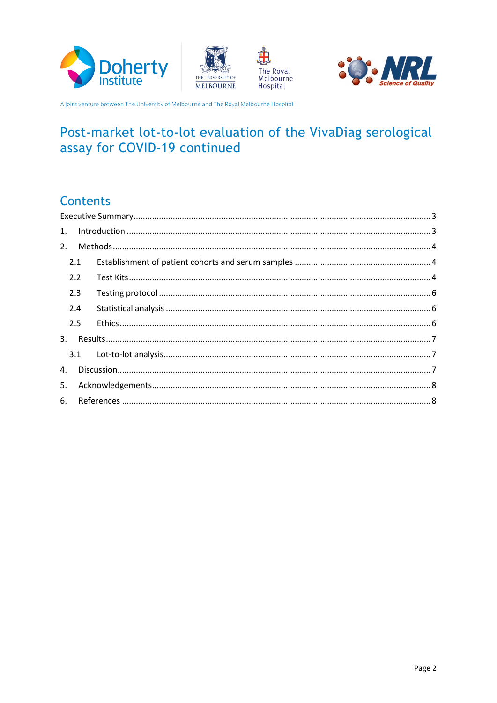







# Post-market lot-to-lot evaluation of the VivaDiag serological assay for COVID-19 continued

### **Contents**

| 2.1 |  |  |  |
|-----|--|--|--|
| 2.2 |  |  |  |
| 2.3 |  |  |  |
| 2.4 |  |  |  |
| 2.5 |  |  |  |
|     |  |  |  |
|     |  |  |  |
|     |  |  |  |
|     |  |  |  |
|     |  |  |  |
|     |  |  |  |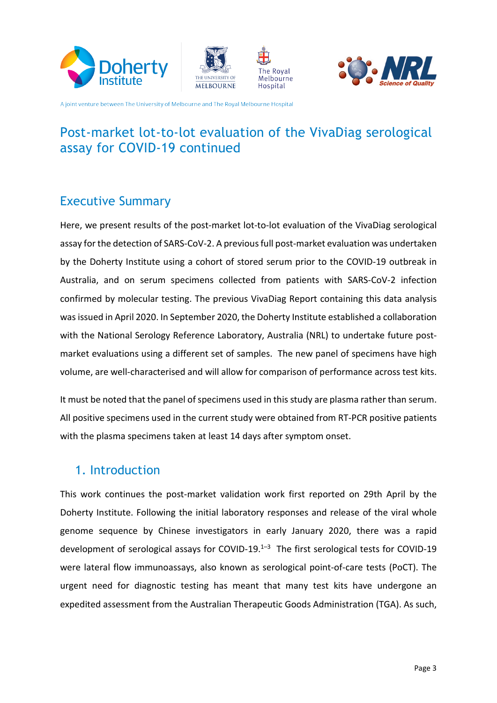







# Post-market lot-to-lot evaluation of the VivaDiag serological assay for COVID-19 continued

### <span id="page-2-0"></span>Executive Summary

Here, we present results of the post-market lot-to-lot evaluation of the VivaDiag serological assay for the detection of SARS-CoV-2. A previous full post-market evaluation was undertaken by the Doherty Institute using a cohort of stored serum prior to the COVID-19 outbreak in Australia, and on serum specimens collected from patients with SARS-CoV-2 infection confirmed by molecular testing. The previous VivaDiag Report containing this data analysis wasissued in April 2020. In September 2020, the Doherty Institute established a collaboration with the National Serology Reference Laboratory, Australia (NRL) to undertake future postmarket evaluations using a different set of samples. The new panel of specimens have high volume, are well-characterised and will allow for comparison of performance across test kits.

It must be noted that the panel of specimens used in this study are plasma rather than serum. All positive specimens used in the current study were obtained from RT-PCR positive patients with the plasma specimens taken at least 14 days after symptom onset.

### <span id="page-2-1"></span>1. Introduction

This work continues the post-market validation work first reported on 29th April by the Doherty Institute. Following the initial laboratory responses and release of the viral whole genome sequence by Chinese investigators in early January 2020, there was a rapid development of serological assays for COVID-19. $1-3$  The first serological tests for COVID-19 were lateral flow immunoassays, also known as serological point-of-care tests (PoCT). The urgent need for diagnostic testing has meant that many test kits have undergone an expedited assessment from the Australian Therapeutic Goods Administration (TGA). As such,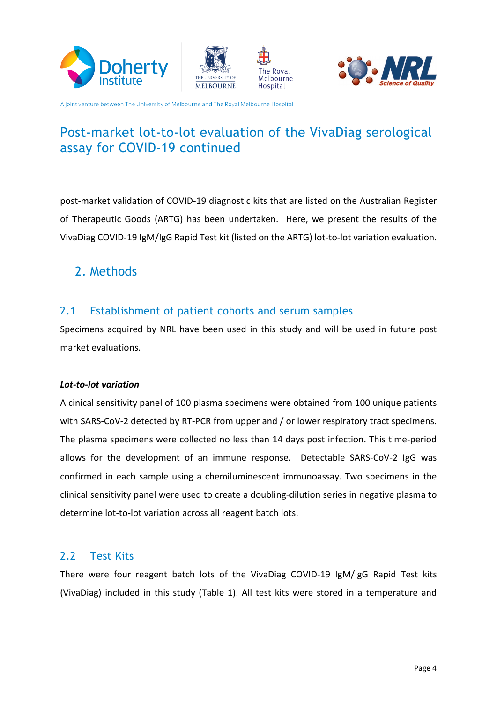







# Post-market lot-to-lot evaluation of the VivaDiag serological assay for COVID-19 continued

post-market validation of COVID-19 diagnostic kits that are listed on the Australian Register of Therapeutic Goods (ARTG) has been undertaken. Here, we present the results of the VivaDiag COVID-19 IgM/IgG Rapid Test kit (listed on the ARTG) lot-to-lot variation evaluation.

### <span id="page-3-0"></span>2. Methods

#### <span id="page-3-1"></span>2.1 Establishment of patient cohorts and serum samples

Specimens acquired by NRL have been used in this study and will be used in future post market evaluations.

#### *Lot-to-lot variation*

A cinical sensitivity panel of 100 plasma specimens were obtained from 100 unique patients with SARS-CoV-2 detected by RT-PCR from upper and / or lower respiratory tract specimens. The plasma specimens were collected no less than 14 days post infection. This time-period allows for the development of an immune response. Detectable SARS-CoV-2 IgG was confirmed in each sample using a chemiluminescent immunoassay. Two specimens in the clinical sensitivity panel were used to create a doubling-dilution series in negative plasma to determine lot-to-lot variation across all reagent batch lots.

#### <span id="page-3-2"></span>2.2 Test Kits

There were four reagent batch lots of the VivaDiag COVID-19 IgM/IgG Rapid Test kits (VivaDiag) included in this study (Table 1). All test kits were stored in a temperature and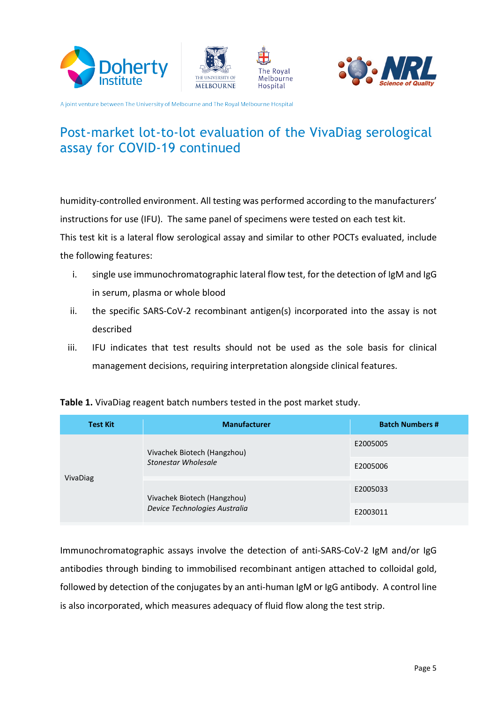







# Post-market lot-to-lot evaluation of the VivaDiag serological assay for COVID-19 continued

humidity-controlled environment. All testing was performed according to the manufacturers' instructions for use (IFU). The same panel of specimens were tested on each test kit. This test kit is a lateral flow serological assay and similar to other POCTs evaluated, include the following features:

- i. single use immunochromatographic lateral flow test, for the detection of IgM and IgG in serum, plasma or whole blood
- ii. the specific SARS-CoV-2 recombinant antigen(s) incorporated into the assay is not described
- iii. IFU indicates that test results should not be used as the sole basis for clinical management decisions, requiring interpretation alongside clinical features.

| <b>Test Kit</b> | <b>Manufacturer</b>                                          | <b>Batch Numbers #</b> |
|-----------------|--------------------------------------------------------------|------------------------|
|                 | Vivachek Biotech (Hangzhou)<br>Stonestar Wholesale           | E2005005               |
| VivaDiag        |                                                              | E2005006               |
|                 | Vivachek Biotech (Hangzhou)<br>Device Technologies Australia | E2005033               |
|                 |                                                              | E2003011               |

Immunochromatographic assays involve the detection of anti-SARS-CoV-2 IgM and/or IgG antibodies through binding to immobilised recombinant antigen attached to colloidal gold, followed by detection of the conjugates by an anti-human IgM or IgG antibody. A control line is also incorporated, which measures adequacy of fluid flow along the test strip.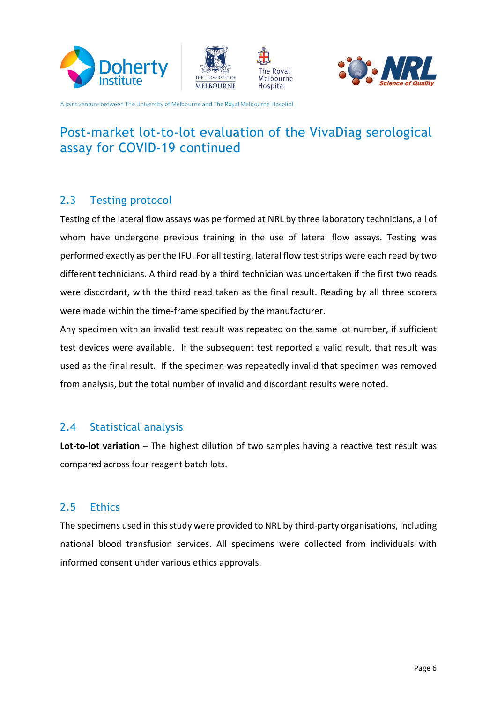







# Post-market lot-to-lot evaluation of the VivaDiag serological assay for COVID-19 continued

#### <span id="page-5-0"></span>2.3 Testing protocol

Testing of the lateral flow assays was performed at NRL by three laboratory technicians, all of whom have undergone previous training in the use of lateral flow assays. Testing was performed exactly as per the IFU. For all testing, lateral flow test strips were each read by two different technicians. A third read by a third technician was undertaken if the first two reads were discordant, with the third read taken as the final result. Reading by all three scorers were made within the time-frame specified by the manufacturer.

Any specimen with an invalid test result was repeated on the same lot number, if sufficient test devices were available. If the subsequent test reported a valid result, that result was used as the final result. If the specimen was repeatedly invalid that specimen was removed from analysis, but the total number of invalid and discordant results were noted.

#### <span id="page-5-1"></span>2.4 Statistical analysis

**Lot-to-lot variation** – The highest dilution of two samples having a reactive test result was compared across four reagent batch lots.

#### <span id="page-5-2"></span>2.5 Ethics

The specimens used in this study were provided to NRL by third-party organisations, including national blood transfusion services. All specimens were collected from individuals with informed consent under various ethics approvals.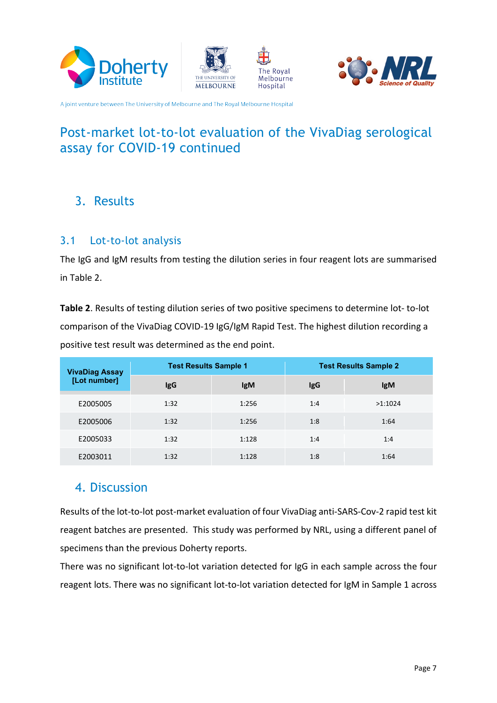







# Post-market lot-to-lot evaluation of the VivaDiag serological assay for COVID-19 continued

### <span id="page-6-0"></span>3. Results

#### <span id="page-6-1"></span>3.1 Lot-to-lot analysis

The IgG and IgM results from testing the dilution series in four reagent lots are summarised in Table 2.

**Table 2**. Results of testing dilution series of two positive specimens to determine lot- to-lot comparison of the VivaDiag COVID-19 IgG/IgM Rapid Test. The highest dilution recording a positive test result was determined as the end point.

| <b>VivaDiag Assay</b> | <b>Test Results Sample 1</b> |            | <b>Test Results Sample 2</b> |            |
|-----------------------|------------------------------|------------|------------------------------|------------|
| [Lot number]          | <b>IgG</b>                   | <b>IgM</b> | <b>IgG</b>                   | <b>IgM</b> |
| E2005005              | 1:32                         | 1:256      | 1:4                          | >1:1024    |
| E2005006              | 1:32                         | 1:256      | 1:8                          | 1:64       |
| E2005033              | 1:32                         | 1:128      | 1:4                          | 1:4        |
| E2003011              | 1:32                         | 1:128      | 1:8                          | 1:64       |

### <span id="page-6-2"></span>4. Discussion

Results of the lot-to-lot post-market evaluation of four VivaDiag anti-SARS-Cov-2 rapid test kit reagent batches are presented. This study was performed by NRL, using a different panel of specimens than the previous Doherty reports.

There was no significant lot-to-lot variation detected for IgG in each sample across the four reagent lots. There was no significant lot-to-lot variation detected for IgM in Sample 1 across